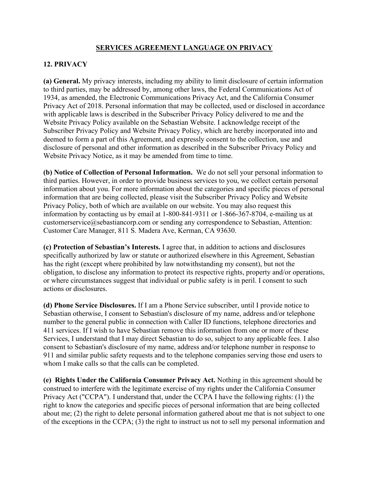## **SERVICES AGREEMENT LANGUAGE ON PRIVACY**

## **12. PRIVACY**

**(a) General.** My privacy interests, including my ability to limit disclosure of certain information to third parties, may be addressed by, among other laws, the Federal Communications Act of 1934, as amended, the Electronic Communications Privacy Act, and the California Consumer Privacy Act of 2018. Personal information that may be collected, used or disclosed in accordance with applicable laws is described in the Subscriber Privacy Policy delivered to me and the Website Privacy Policy available on the Sebastian Website. I acknowledge receipt of the Subscriber Privacy Policy and Website Privacy Policy, which are hereby incorporated into and deemed to form a part of this Agreement, and expressly consent to the collection, use and disclosure of personal and other information as described in the Subscriber Privacy Policy and Website Privacy Notice, as it may be amended from time to time.

**(b) Notice of Collection of Personal Information.** We do not sell your personal information to third parties. However, in order to provide business services to you, we collect certain personal information about you. For more information about the categories and specific pieces of personal information that are being collected, please visit the Subscriber Privacy Policy and Website Privacy Policy, both of which are available on our website. You may also request this information by contacting us by email at 1-800-841-9311 or 1-866-367-8704, e-mailing us at customerservice@sebastiancorp.com or sending any correspondence to Sebastian, Attention: Customer Care Manager, 811 S. Madera Ave, Kerman, CA 93630.

**(c) Protection of Sebastian's Interests.** I agree that, in addition to actions and disclosures specifically authorized by law or statute or authorized elsewhere in this Agreement, Sebastian has the right (except where prohibited by law notwithstanding my consent), but not the obligation, to disclose any information to protect its respective rights, property and/or operations, or where circumstances suggest that individual or public safety is in peril. I consent to such actions or disclosures.

**(d) Phone Service Disclosures.** If I am a Phone Service subscriber, until I provide notice to Sebastian otherwise, I consent to Sebastian's disclosure of my name, address and/or telephone number to the general public in connection with Caller ID functions, telephone directories and 411 services. If I wish to have Sebastian remove this information from one or more of these Services, I understand that I may direct Sebastian to do so, subject to any applicable fees. I also consent to Sebastian's disclosure of my name, address and/or telephone number in response to 911 and similar public safety requests and to the telephone companies serving those end users to whom I make calls so that the calls can be completed.

**(e) Rights Under the California Consumer Privacy Act.** Nothing in this agreement should be construed to interfere with the legitimate exercise of my rights under the California Consumer Privacy Act ("CCPA"). I understand that, under the CCPA I have the following rights: (1) the right to know the categories and specific pieces of personal information that are being collected about me; (2) the right to delete personal information gathered about me that is not subject to one of the exceptions in the CCPA; (3) the right to instruct us not to sell my personal information and